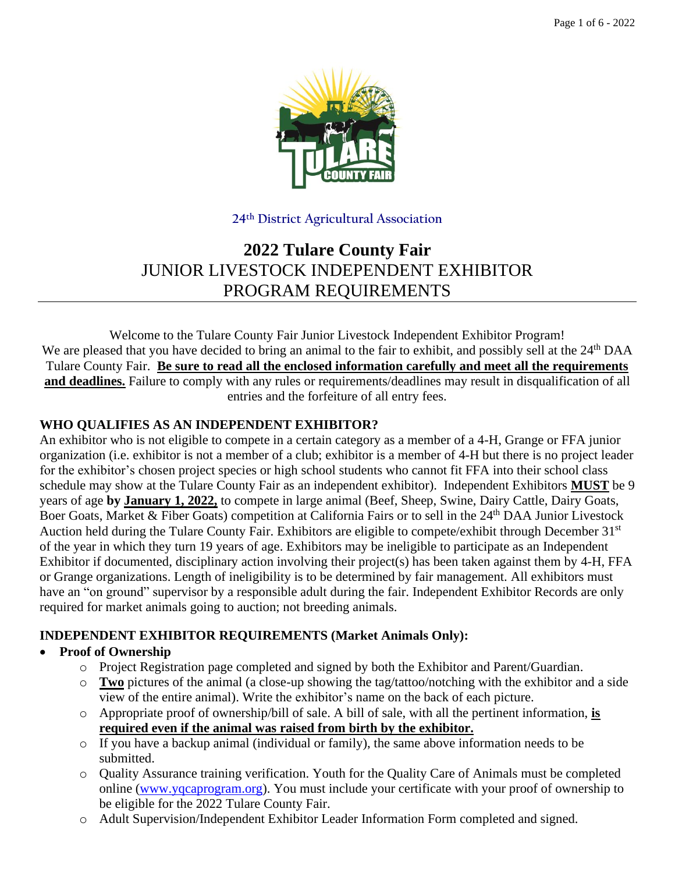

### **24th District Agricultural Association**

# **2022 Tulare County Fair** JUNIOR LIVESTOCK INDEPENDENT EXHIBITOR PROGRAM REQUIREMENTS

Welcome to the Tulare County Fair Junior Livestock Independent Exhibitor Program! We are pleased that you have decided to bring an animal to the fair to exhibit, and possibly sell at the 24<sup>th</sup> DAA Tulare County Fair. **Be sure to read all the enclosed information carefully and meet all the requirements and deadlines.** Failure to comply with any rules or requirements/deadlines may result in disqualification of all entries and the forfeiture of all entry fees.

### **WHO QUALIFIES AS AN INDEPENDENT EXHIBITOR?**

An exhibitor who is not eligible to compete in a certain category as a member of a 4-H, Grange or FFA junior organization (i.e. exhibitor is not a member of a club; exhibitor is a member of 4-H but there is no project leader for the exhibitor's chosen project species or high school students who cannot fit FFA into their school class schedule may show at the Tulare County Fair as an independent exhibitor). Independent Exhibitors **MUST** be 9 years of age **by January 1, 2022,** to compete in large animal (Beef, Sheep, Swine, Dairy Cattle, Dairy Goats, Boer Goats, Market & Fiber Goats) competition at California Fairs or to sell in the 24<sup>th</sup> DAA Junior Livestock Auction held during the Tulare County Fair. Exhibitors are eligible to compete/exhibit through December 31<sup>st</sup> of the year in which they turn 19 years of age. Exhibitors may be ineligible to participate as an Independent Exhibitor if documented, disciplinary action involving their project(s) has been taken against them by 4-H, FFA or Grange organizations. Length of ineligibility is to be determined by fair management. All exhibitors must have an "on ground" supervisor by a responsible adult during the fair. Independent Exhibitor Records are only required for market animals going to auction; not breeding animals.

### **INDEPENDENT EXHIBITOR REQUIREMENTS (Market Animals Only):**

### • **Proof of Ownership**

- o Project Registration page completed and signed by both the Exhibitor and Parent/Guardian.
- o **Two** pictures of the animal (a close-up showing the tag/tattoo/notching with the exhibitor and a side view of the entire animal). Write the exhibitor's name on the back of each picture.
- o Appropriate proof of ownership/bill of sale. A bill of sale, with all the pertinent information, **is required even if the animal was raised from birth by the exhibitor.**
- o If you have a backup animal (individual or family), the same above information needs to be submitted.
- o Quality Assurance training verification. Youth for the Quality Care of Animals must be completed online [\(www.yqcaprogram.org\)](https://yqcaprogram.org/). You must include your certificate with your proof of ownership to be eligible for the 2022 Tulare County Fair.
- o Adult Supervision/Independent Exhibitor Leader Information Form completed and signed.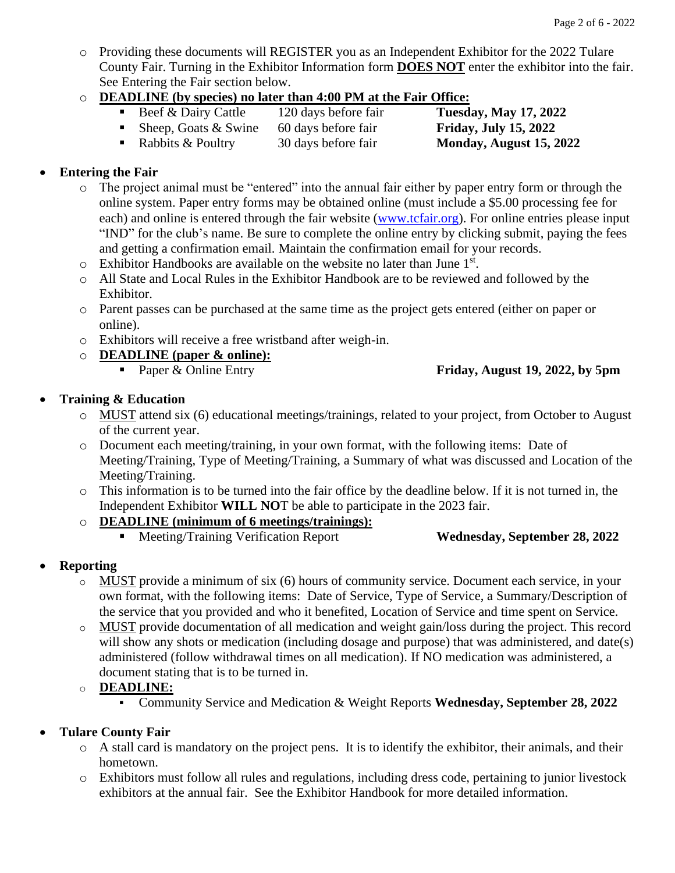- o Providing these documents will REGISTER you as an Independent Exhibitor for the 2022 Tulare County Fair. Turning in the Exhibitor Information form **DOES NOT** enter the exhibitor into the fair. See Entering the Fair section below.
- o **DEADLINE (by species) no later than 4:00 PM at the Fair Office:**
	- Beef & Dairy Cattle 120 days before fair **Tuesday, May 17, 2022**
	- Sheep, Goats & Swine 60 days before fair **Friday, July 15, 2022**
	- Rabbits & Poultry 30 days before fair **Monday, August 15, 2022**

- **Entering the Fair**
	- o The project animal must be "entered" into the annual fair either by paper entry form or through the online system. Paper entry forms may be obtained online (must include a \$5.00 processing fee for each) and online is entered through the fair website [\(www.tcfair.org\)](https://www.tcfair.org/). For online entries please input "IND" for the club's name. Be sure to complete the online entry by clicking submit, paying the fees and getting a confirmation email. Maintain the confirmation email for your records.
	- $\circ$  Exhibitor Handbooks are available on the website no later than June 1<sup>st</sup>.
	- o All State and Local Rules in the Exhibitor Handbook are to be reviewed and followed by the Exhibitor.
	- o Parent passes can be purchased at the same time as the project gets entered (either on paper or online).
	- o Exhibitors will receive a free wristband after weigh-in.
	- o **DEADLINE (paper & online):**
		-

▪ Paper & Online Entry **Friday, August 19, 2022, by 5pm**

### • **Training & Education**

- o MUST attend six (6) educational meetings/trainings, related to your project, from October to August of the current year.
- o Document each meeting/training, in your own format, with the following items: Date of Meeting/Training, Type of Meeting/Training, a Summary of what was discussed and Location of the Meeting/Training.
- o This information is to be turned into the fair office by the deadline below. If it is not turned in, the Independent Exhibitor **WILL NO**T be able to participate in the 2023 fair.
- o **DEADLINE (minimum of 6 meetings/trainings):**
	- Meeting/Training Verification Report **Wednesday, September 28, 2022**
		-

### • **Reporting**

- $\circ$  MUST provide a minimum of six (6) hours of community service. Document each service, in your own format, with the following items: Date of Service, Type of Service, a Summary/Description of the service that you provided and who it benefited, Location of Service and time spent on Service.
- o MUST provide documentation of all medication and weight gain/loss during the project. This record will show any shots or medication (including dosage and purpose) that was administered, and date(s) administered (follow withdrawal times on all medication). If NO medication was administered, a document stating that is to be turned in.

o **DEADLINE:**

▪ Community Service and Medication & Weight Reports **Wednesday, September 28, 2022**

### • **Tulare County Fair**

- $\circ$  A stall card is mandatory on the project pens. It is to identify the exhibitor, their animals, and their hometown.
- o Exhibitors must follow all rules and regulations, including dress code, pertaining to junior livestock exhibitors at the annual fair. See the Exhibitor Handbook for more detailed information.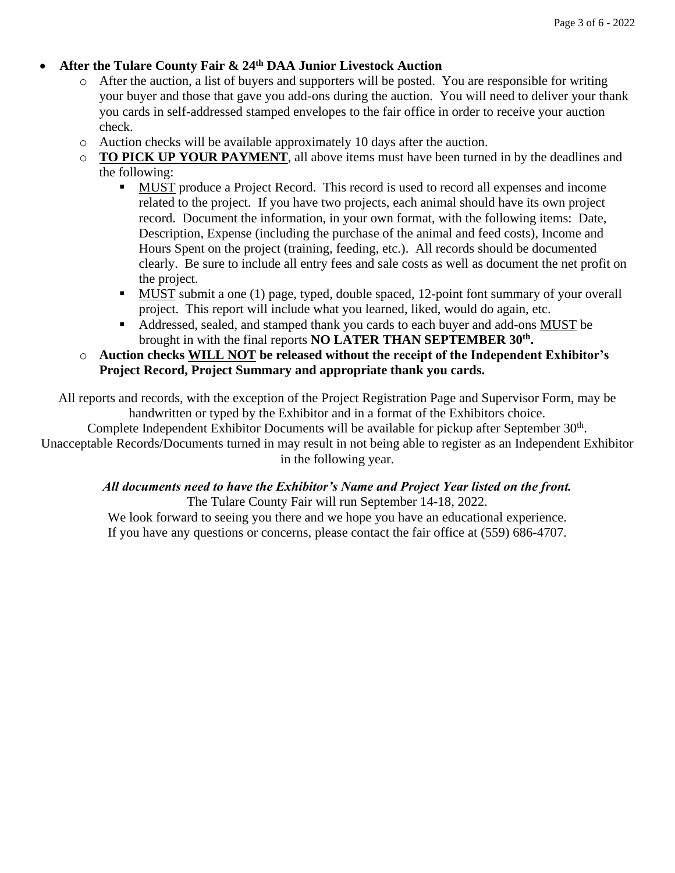### • **After the Tulare County Fair & 24th DAA Junior Livestock Auction**

- o After the auction, a list of buyers and supporters will be posted. You are responsible for writing your buyer and those that gave you add-ons during the auction. You will need to deliver your thank you cards in self-addressed stamped envelopes to the fair office in order to receive your auction check.
- o Auction checks will be available approximately 10 days after the auction.
- o **TO PICK UP YOUR PAYMENT**, all above items must have been turned in by the deadlines and the following:
	- MUST produce a Project Record. This record is used to record all expenses and income related to the project. If you have two projects, each animal should have its own project record. Document the information, in your own format, with the following items: Date, Description, Expense (including the purchase of the animal and feed costs), Income and Hours Spent on the project (training, feeding, etc.). All records should be documented clearly. Be sure to include all entry fees and sale costs as well as document the net profit on the project.
	- MUST submit a one (1) page, typed, double spaced, 12-point font summary of your overall project. This report will include what you learned, liked, would do again, etc.
	- Addressed, sealed, and stamped thank you cards to each buyer and add-ons MUST be brought in with the final reports **NO LATER THAN SEPTEMBER 30th .**
- o **Auction checks WILL NOT be released without the receipt of the Independent Exhibitor's Project Record, Project Summary and appropriate thank you cards.**

All reports and records, with the exception of the Project Registration Page and Supervisor Form, may be handwritten or typed by the Exhibitor and in a format of the Exhibitors choice.

Complete Independent Exhibitor Documents will be available for pickup after September 30<sup>th</sup>.

Unacceptable Records/Documents turned in may result in not being able to register as an Independent Exhibitor in the following year.

#### *All documents need to have the Exhibitor's Name and Project Year listed on the front.* The Tulare County Fair will run September 14-18, 2022.

We look forward to seeing you there and we hope you have an educational experience. If you have any questions or concerns, please contact the fair office at (559) 686-4707.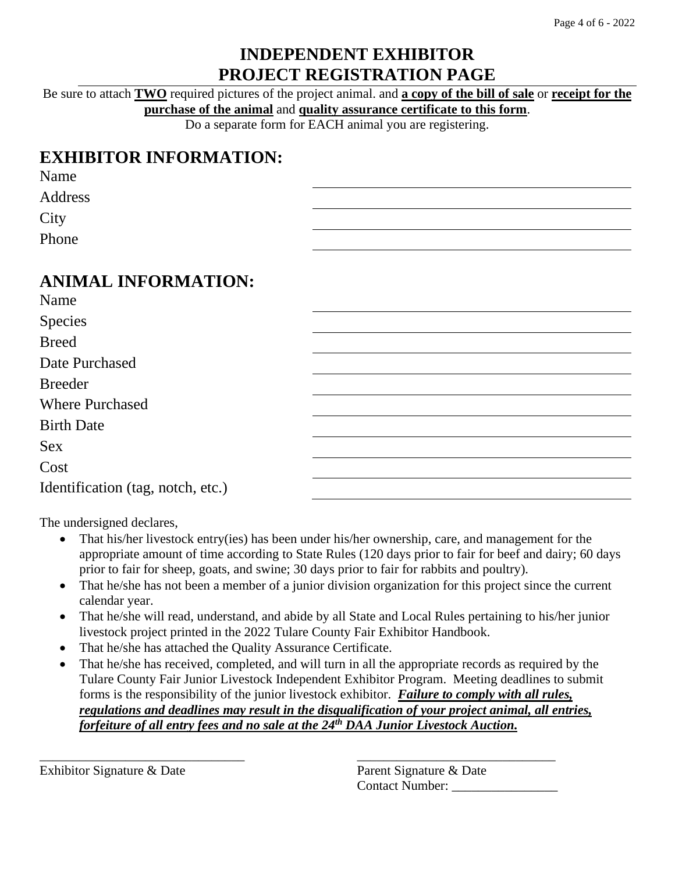## **INDEPENDENT EXHIBITOR PROJECT REGISTRATION PAGE**

Be sure to attach **TWO** required pictures of the project animal. and **a copy of the bill of sale** or **receipt for the purchase of the animal** and **quality assurance certificate to this form**.

Do a separate form for EACH animal you are registering.

# **EXHIBITOR INFORMATION:**

| Name    |  |
|---------|--|
| Address |  |
| City    |  |
| Phone   |  |

# **ANIMAL INFORMATION:**

| Name                              |  |
|-----------------------------------|--|
| Species                           |  |
| <b>Breed</b>                      |  |
| Date Purchased                    |  |
| <b>Breeder</b>                    |  |
| <b>Where Purchased</b>            |  |
| <b>Birth Date</b>                 |  |
| <b>Sex</b>                        |  |
| Cost                              |  |
| Identification (tag, notch, etc.) |  |

The undersigned declares,

- That his/her livestock entry(ies) has been under his/her ownership, care, and management for the appropriate amount of time according to State Rules (120 days prior to fair for beef and dairy; 60 days prior to fair for sheep, goats, and swine; 30 days prior to fair for rabbits and poultry).
- That he/she has not been a member of a junior division organization for this project since the current calendar year.
- That he/she will read, understand, and abide by all State and Local Rules pertaining to his/her junior livestock project printed in the 2022 Tulare County Fair Exhibitor Handbook.
- That he/she has attached the Quality Assurance Certificate.
- That he/she has received, completed, and will turn in all the appropriate records as required by the Tulare County Fair Junior Livestock Independent Exhibitor Program. Meeting deadlines to submit forms is the responsibility of the junior livestock exhibitor. *Failure to comply with all rules, regulations and deadlines may result in the disqualification of your project animal, all entries, forfeiture of all entry fees and no sale at the 24th DAA Junior Livestock Auction.*

\_\_\_\_\_\_\_\_\_\_\_\_\_\_\_\_\_\_\_\_\_\_\_\_\_\_\_\_\_\_\_ \_\_\_\_\_\_\_\_\_\_\_\_\_\_\_\_\_\_\_\_\_\_\_\_\_\_\_\_\_\_

Exhibitor Signature & Date Parent Signature & Date

Contact Number: \_\_\_\_\_\_\_\_\_\_\_\_\_\_\_\_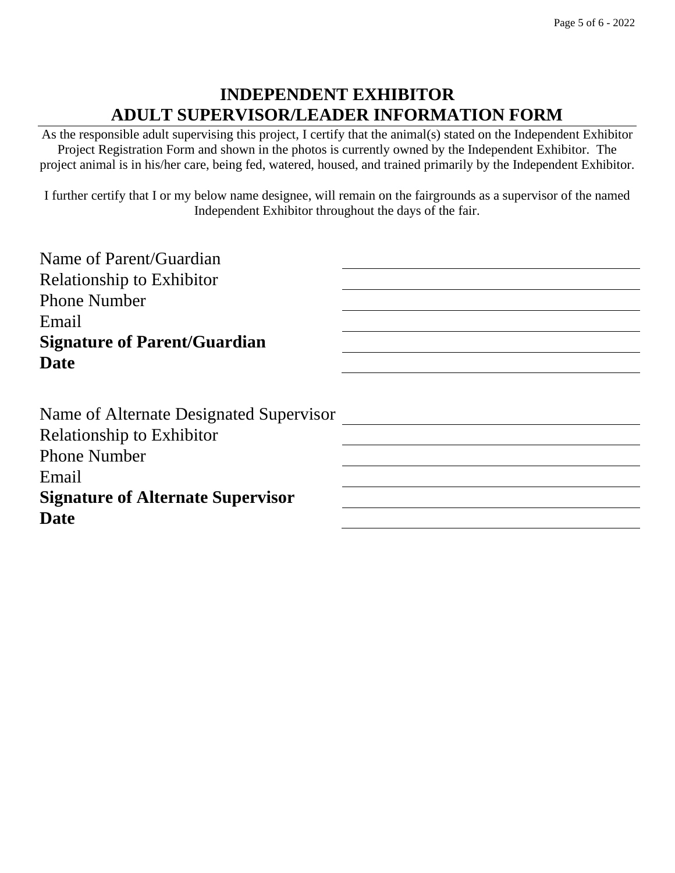## **INDEPENDENT EXHIBITOR ADULT SUPERVISOR/LEADER INFORMATION FORM**

As the responsible adult supervising this project, I certify that the animal(s) stated on the Independent Exhibitor Project Registration Form and shown in the photos is currently owned by the Independent Exhibitor. The project animal is in his/her care, being fed, watered, housed, and trained primarily by the Independent Exhibitor.

I further certify that I or my below name designee, will remain on the fairgrounds as a supervisor of the named Independent Exhibitor throughout the days of the fair.

| Name of Parent/Guardian                  |  |
|------------------------------------------|--|
| <b>Relationship to Exhibitor</b>         |  |
| <b>Phone Number</b>                      |  |
| Email                                    |  |
| <b>Signature of Parent/Guardian</b>      |  |
| <b>Date</b>                              |  |
|                                          |  |
| Name of Alternate Designated Supervisor  |  |
| <b>Relationship to Exhibitor</b>         |  |
| <b>Phone Number</b>                      |  |
| Email                                    |  |
| <b>Signature of Alternate Supervisor</b> |  |
| <b>Date</b>                              |  |